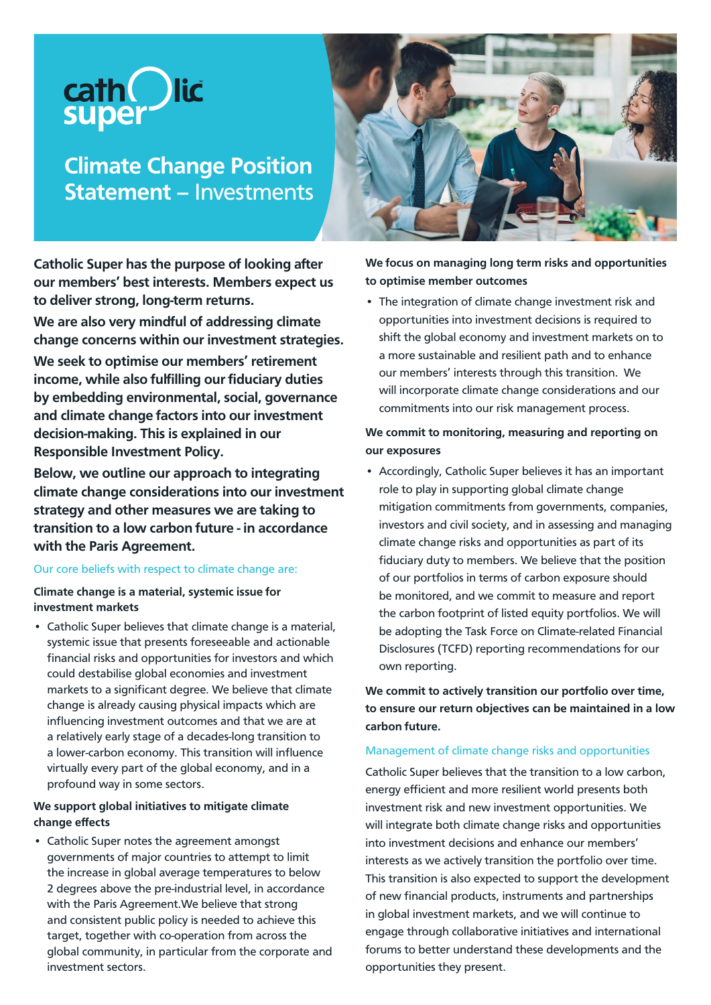

**Climate Change Position Statement –** Investments

**Catholic Super has the purpose of looking after our members' best interests. Members expect us to deliver strong, long-term returns.**

**We are also very mindful of addressing climate change concerns within our investment strategies.**

**We seek to optimise our members' retirement income, while also fulfilling our fiduciary duties by embedding environmental, social, governance and climate change factors into our investment decision-making. This is explained in our Responsible Investment Policy.**

**Below, we outline our approach to integrating climate change considerations into our investment strategy and other measures we are taking to transition to a low carbon future - in accordance with the Paris Agreement.**

## Our core beliefs with respect to climate change are:

**Climate change is a material, systemic issue for investment markets**

• Catholic Super believes that climate change is a material, systemic issue that presents foreseeable and actionable financial risks and opportunities for investors and which could destabilise global economies and investment markets to a significant degree. We believe that climate change is already causing physical impacts which are influencing investment outcomes and that we are at a relatively early stage of a decades-long transition to a lower-carbon economy. This transition will influence virtually every part of the global economy, and in a profound way in some sectors.

### **We support global initiatives to mitigate climate change effects**

• Catholic Super notes the agreement amongst governments of major countries to attempt to limit the increase in global average temperatures to below 2 degrees above the pre-industrial level, in accordance with the Paris Agreement.We believe that strong and consistent public policy is needed to achieve this target, together with co-operation from across the global community, in particular from the corporate and investment sectors.



**We focus on managing long term risks and opportunities to optimise member outcomes**

• The integration of climate change investment risk and opportunities into investment decisions is required to shift the global economy and investment markets on to a more sustainable and resilient path and to enhance our members' interests through this transition. We will incorporate climate change considerations and our commitments into our risk management process.

## **We commit to monitoring, measuring and reporting on our exposures**

• Accordingly, Catholic Super believes it has an important role to play in supporting global climate change mitigation commitments from governments, companies, investors and civil society, and in assessing and managing climate change risks and opportunities as part of its fiduciary duty to members. We believe that the position of our portfolios in terms of carbon exposure should be monitored, and we commit to measure and report the carbon footprint of listed equity portfolios. We will be adopting the Task Force on Climate-related Financial Disclosures (TCFD) reporting recommendations for our own reporting.

**We commit to actively transition our portfolio over time, to ensure our return objectives can be maintained in a low carbon future.**

#### Management of climate change risks and opportunities

Catholic Super believes that the transition to a low carbon, energy efficient and more resilient world presents both investment risk and new investment opportunities. We will integrate both climate change risks and opportunities into investment decisions and enhance our members' interests as we actively transition the portfolio over time. This transition is also expected to support the development of new financial products, instruments and partnerships in global investment markets, and we will continue to engage through collaborative initiatives and international forums to better understand these developments and the opportunities they present.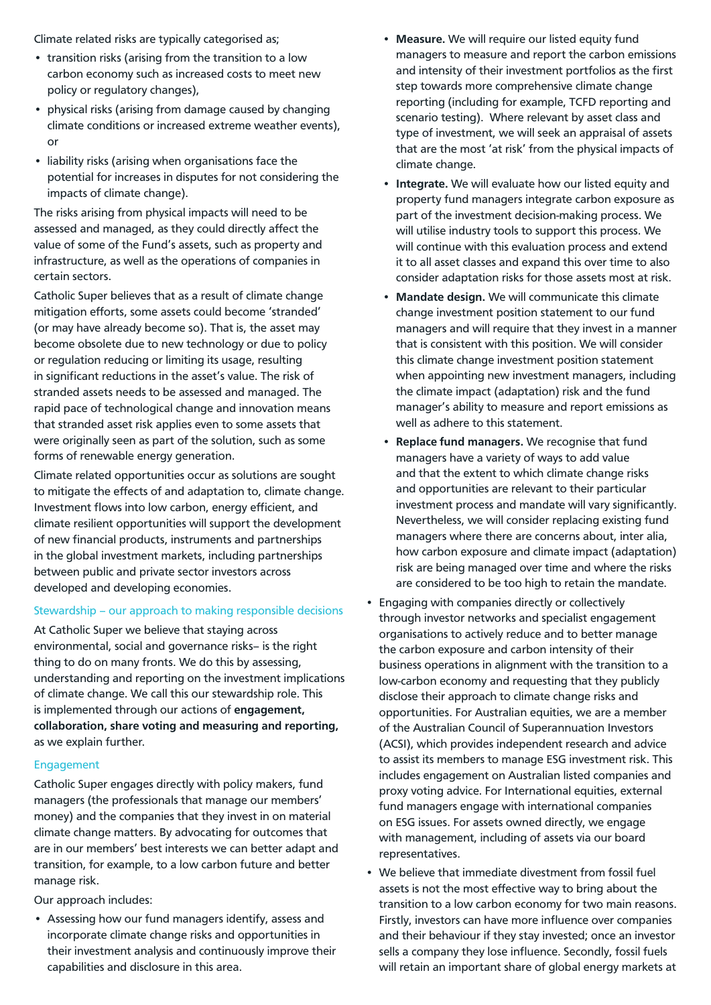Climate related risks are typically categorised as;

- transition risks (arising from the transition to a low carbon economy such as increased costs to meet new policy or regulatory changes),
- physical risks (arising from damage caused by changing climate conditions or increased extreme weather events), or
- liability risks (arising when organisations face the potential for increases in disputes for not considering the impacts of climate change).

The risks arising from physical impacts will need to be assessed and managed, as they could directly affect the value of some of the Fund's assets, such as property and infrastructure, as well as the operations of companies in certain sectors.

Catholic Super believes that as a result of climate change mitigation efforts, some assets could become 'stranded' (or may have already become so). That is, the asset may become obsolete due to new technology or due to policy or regulation reducing or limiting its usage, resulting in significant reductions in the asset's value. The risk of stranded assets needs to be assessed and managed. The rapid pace of technological change and innovation means that stranded asset risk applies even to some assets that were originally seen as part of the solution, such as some forms of renewable energy generation.

Climate related opportunities occur as solutions are sought to mitigate the effects of and adaptation to, climate change. Investment flows into low carbon, energy efficient, and climate resilient opportunities will support the development of new financial products, instruments and partnerships in the global investment markets, including partnerships between public and private sector investors across developed and developing economies.

## Stewardship – our approach to making responsible decisions

At Catholic Super we believe that staying across environmental, social and governance risks– is the right thing to do on many fronts. We do this by assessing, understanding and reporting on the investment implications of climate change. We call this our stewardship role. This is implemented through our actions of **engagement, collaboration, share voting and measuring and reporting,** as we explain further.

#### Engagement

Catholic Super engages directly with policy makers, fund managers (the professionals that manage our members' money) and the companies that they invest in on material climate change matters. By advocating for outcomes that are in our members' best interests we can better adapt and transition, for example, to a low carbon future and better manage risk.

Our approach includes:

• Assessing how our fund managers identify, assess and incorporate climate change risks and opportunities in their investment analysis and continuously improve their capabilities and disclosure in this area.

- **Measure.** We will require our listed equity fund managers to measure and report the carbon emissions and intensity of their investment portfolios as the first step towards more comprehensive climate change reporting (including for example, TCFD reporting and scenario testing). Where relevant by asset class and type of investment, we will seek an appraisal of assets that are the most 'at risk' from the physical impacts of climate change.
- **Integrate.** We will evaluate how our listed equity and property fund managers integrate carbon exposure as part of the investment decision-making process. We will utilise industry tools to support this process. We will continue with this evaluation process and extend it to all asset classes and expand this over time to also consider adaptation risks for those assets most at risk.
- **Mandate design.** We will communicate this climate change investment position statement to our fund managers and will require that they invest in a manner that is consistent with this position. We will consider this climate change investment position statement when appointing new investment managers, including the climate impact (adaptation) risk and the fund manager's ability to measure and report emissions as well as adhere to this statement.
- **Replace fund managers.** We recognise that fund managers have a variety of ways to add value and that the extent to which climate change risks and opportunities are relevant to their particular investment process and mandate will vary significantly. Nevertheless, we will consider replacing existing fund managers where there are concerns about, inter alia, how carbon exposure and climate impact (adaptation) risk are being managed over time and where the risks are considered to be too high to retain the mandate.
- Engaging with companies directly or collectively through investor networks and specialist engagement organisations to actively reduce and to better manage the carbon exposure and carbon intensity of their business operations in alignment with the transition to a low-carbon economy and requesting that they publicly disclose their approach to climate change risks and opportunities. For Australian equities, we are a member of the Australian Council of Superannuation Investors (ACSI), which provides independent research and advice to assist its members to manage ESG investment risk. This includes engagement on Australian listed companies and proxy voting advice. For International equities, external fund managers engage with international companies on ESG issues. For assets owned directly, we engage with management, including of assets via our board representatives.
- We believe that immediate divestment from fossil fuel assets is not the most effective way to bring about the transition to a low carbon economy for two main reasons. Firstly, investors can have more influence over companies and their behaviour if they stay invested; once an investor sells a company they lose influence. Secondly, fossil fuels will retain an important share of global energy markets at